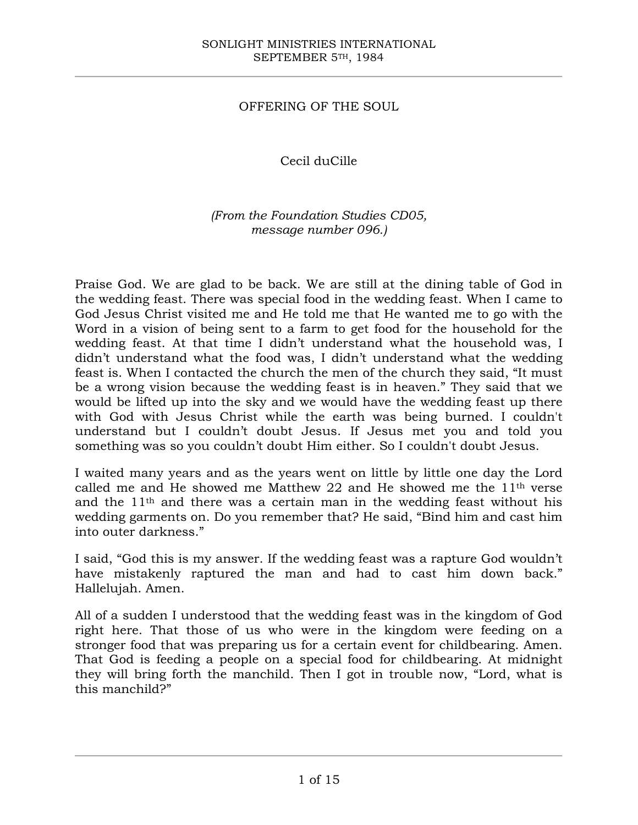## OFFERING OF THE SOUL

# Cecil duCille

## *(From the Foundation Studies CD05, message number 096.)*

Praise God. We are glad to be back. We are still at the dining table of God in the wedding feast. There was special food in the wedding feast. When I came to God Jesus Christ visited me and He told me that He wanted me to go with the Word in a vision of being sent to a farm to get food for the household for the wedding feast. At that time I didn't understand what the household was, I didn't understand what the food was, I didn't understand what the wedding feast is. When I contacted the church the men of the church they said, "It must be a wrong vision because the wedding feast is in heaven." They said that we would be lifted up into the sky and we would have the wedding feast up there with God with Jesus Christ while the earth was being burned. I couldn't understand but I couldn't doubt Jesus. If Jesus met you and told you something was so you couldn't doubt Him either. So I couldn't doubt Jesus.

I waited many years and as the years went on little by little one day the Lord called me and He showed me Matthew 22 and He showed me the  $11<sup>th</sup>$  verse and the 11th and there was a certain man in the wedding feast without his wedding garments on. Do you remember that? He said, "Bind him and cast him into outer darkness."

I said, "God this is my answer. If the wedding feast was a rapture God wouldn't have mistakenly raptured the man and had to cast him down back." Hallelujah. Amen.

All of a sudden I understood that the wedding feast was in the kingdom of God right here. That those of us who were in the kingdom were feeding on a stronger food that was preparing us for a certain event for childbearing. Amen. That God is feeding a people on a special food for childbearing. At midnight they will bring forth the manchild. Then I got in trouble now, "Lord, what is this manchild?"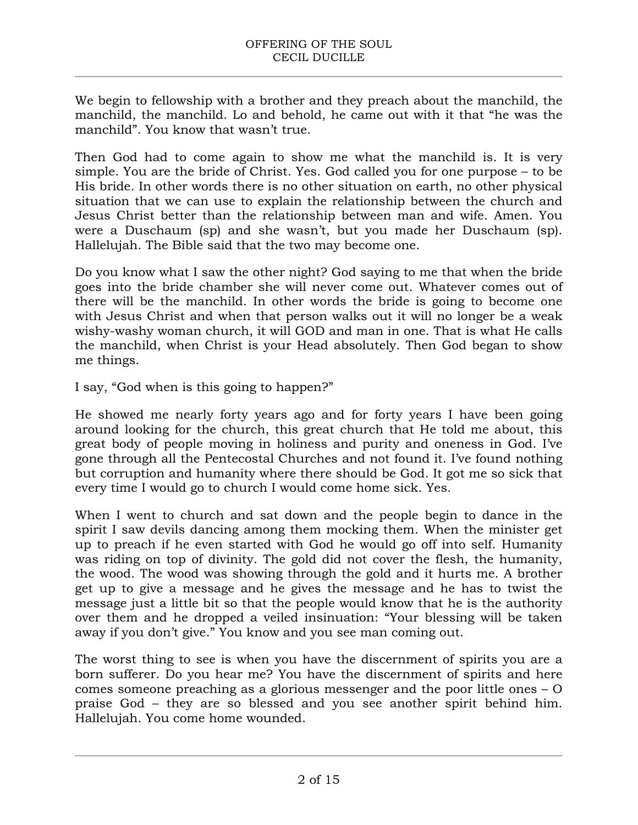We begin to fellowship with a brother and they preach about the manchild, the manchild, the manchild. Lo and behold, he came out with it that "he was the manchild". You know that wasn't true.

Then God had to come again to show me what the manchild is. It is very simple. You are the bride of Christ. Yes. God called you for one purpose – to be His bride. In other words there is no other situation on earth, no other physical situation that we can use to explain the relationship between the church and Jesus Christ better than the relationship between man and wife. Amen. You were a Duschaum (sp) and she wasn't, but you made her Duschaum (sp). Hallelujah. The Bible said that the two may become one.

Do you know what I saw the other night? God saying to me that when the bride goes into the bride chamber she will never come out. Whatever comes out of there will be the manchild. In other words the bride is going to become one with Jesus Christ and when that person walks out it will no longer be a weak wishy-washy woman church, it will GOD and man in one. That is what He calls the manchild, when Christ is your Head absolutely. Then God began to show me things.

I say, "God when is this going to happen?"

He showed me nearly forty years ago and for forty years I have been going around looking for the church, this great church that He told me about, this great body of people moving in holiness and purity and oneness in God. I've gone through all the Pentecostal Churches and not found it. I've found nothing but corruption and humanity where there should be God. It got me so sick that every time I would go to church I would come home sick. Yes.

When I went to church and sat down and the people begin to dance in the spirit I saw devils dancing among them mocking them. When the minister get up to preach if he even started with God he would go off into self. Humanity was riding on top of divinity. The gold did not cover the flesh, the humanity, the wood. The wood was showing through the gold and it hurts me. A brother get up to give a message and he gives the message and he has to twist the message just a little bit so that the people would know that he is the authority over them and he dropped a veiled insinuation: "Your blessing will be taken away if you don't give." You know and you see man coming out.

The worst thing to see is when you have the discernment of spirits you are a born sufferer. Do you hear me? You have the discernment of spirits and here comes someone preaching as a glorious messenger and the poor little ones – O praise God – they are so blessed and you see another spirit behind him. Hallelujah. You come home wounded.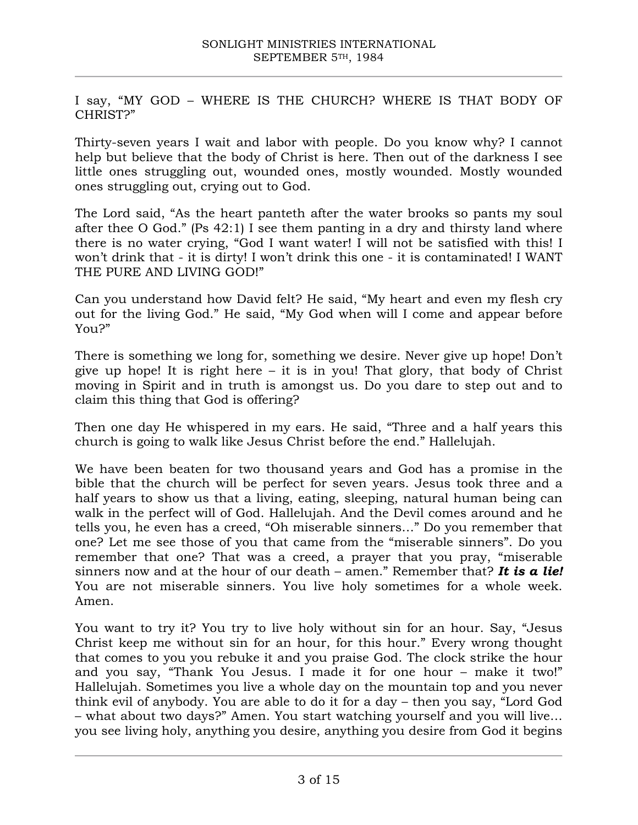I say, "MY GOD – WHERE IS THE CHURCH? WHERE IS THAT BODY OF CHRIST?"

Thirty-seven years I wait and labor with people. Do you know why? I cannot help but believe that the body of Christ is here. Then out of the darkness I see little ones struggling out, wounded ones, mostly wounded. Mostly wounded ones struggling out, crying out to God.

The Lord said, "As the heart panteth after the water brooks so pants my soul after thee O God." (Ps 42:1) I see them panting in a dry and thirsty land where there is no water crying, "God I want water! I will not be satisfied with this! I won't drink that - it is dirty! I won't drink this one - it is contaminated! I WANT THE PURE AND LIVING GOD!"

Can you understand how David felt? He said, "My heart and even my flesh cry out for the living God." He said, "My God when will I come and appear before You?"

There is something we long for, something we desire. Never give up hope! Don't give up hope! It is right here  $-$  it is in you! That glory, that body of Christ moving in Spirit and in truth is amongst us. Do you dare to step out and to claim this thing that God is offering?

Then one day He whispered in my ears. He said, "Three and a half years this church is going to walk like Jesus Christ before the end." Hallelujah.

We have been beaten for two thousand years and God has a promise in the bible that the church will be perfect for seven years. Jesus took three and a half years to show us that a living, eating, sleeping, natural human being can walk in the perfect will of God. Hallelujah. And the Devil comes around and he tells you, he even has a creed, "Oh miserable sinners…" Do you remember that one? Let me see those of you that came from the "miserable sinners". Do you remember that one? That was a creed, a prayer that you pray, "miserable sinners now and at the hour of our death – amen." Remember that? *It is a lie!*  You are not miserable sinners. You live holy sometimes for a whole week. Amen.

You want to try it? You try to live holy without sin for an hour. Say, "Jesus Christ keep me without sin for an hour, for this hour." Every wrong thought that comes to you you rebuke it and you praise God. The clock strike the hour and you say, "Thank You Jesus. I made it for one hour – make it two!" Hallelujah. Sometimes you live a whole day on the mountain top and you never think evil of anybody. You are able to do it for a day – then you say, "Lord God – what about two days?" Amen. You start watching yourself and you will live… you see living holy, anything you desire, anything you desire from God it begins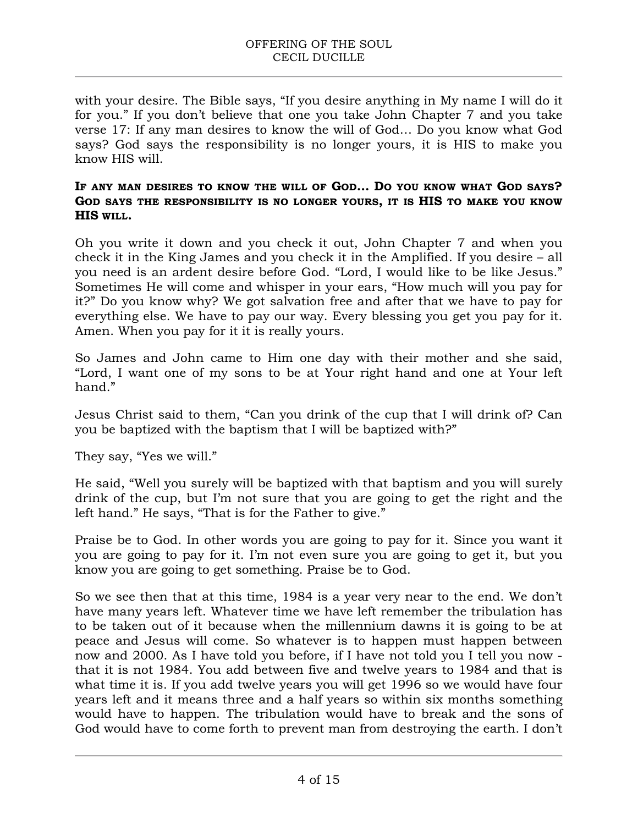with your desire. The Bible says, "If you desire anything in My name I will do it for you." If you don't believe that one you take John Chapter 7 and you take verse 17: If any man desires to know the will of God… Do you know what God says? God says the responsibility is no longer yours, it is HIS to make you know HIS will.

#### **IF ANY MAN DESIRES TO KNOW THE WILL OF GOD… DO YOU KNOW WHAT GOD SAYS? GOD SAYS THE RESPONSIBILITY IS NO LONGER YOURS, IT IS HIS TO MAKE YOU KNOW HIS WILL.**

Oh you write it down and you check it out, John Chapter 7 and when you check it in the King James and you check it in the Amplified. If you desire – all you need is an ardent desire before God. "Lord, I would like to be like Jesus." Sometimes He will come and whisper in your ears, "How much will you pay for it?" Do you know why? We got salvation free and after that we have to pay for everything else. We have to pay our way. Every blessing you get you pay for it. Amen. When you pay for it it is really yours.

So James and John came to Him one day with their mother and she said, "Lord, I want one of my sons to be at Your right hand and one at Your left hand."

Jesus Christ said to them, "Can you drink of the cup that I will drink of? Can you be baptized with the baptism that I will be baptized with?"

They say, "Yes we will."

He said, "Well you surely will be baptized with that baptism and you will surely drink of the cup, but I'm not sure that you are going to get the right and the left hand." He says, "That is for the Father to give."

Praise be to God. In other words you are going to pay for it. Since you want it you are going to pay for it. I'm not even sure you are going to get it, but you know you are going to get something. Praise be to God.

So we see then that at this time, 1984 is a year very near to the end. We don't have many years left. Whatever time we have left remember the tribulation has to be taken out of it because when the millennium dawns it is going to be at peace and Jesus will come. So whatever is to happen must happen between now and 2000. As I have told you before, if I have not told you I tell you now that it is not 1984. You add between five and twelve years to 1984 and that is what time it is. If you add twelve years you will get 1996 so we would have four years left and it means three and a half years so within six months something would have to happen. The tribulation would have to break and the sons of God would have to come forth to prevent man from destroying the earth. I don't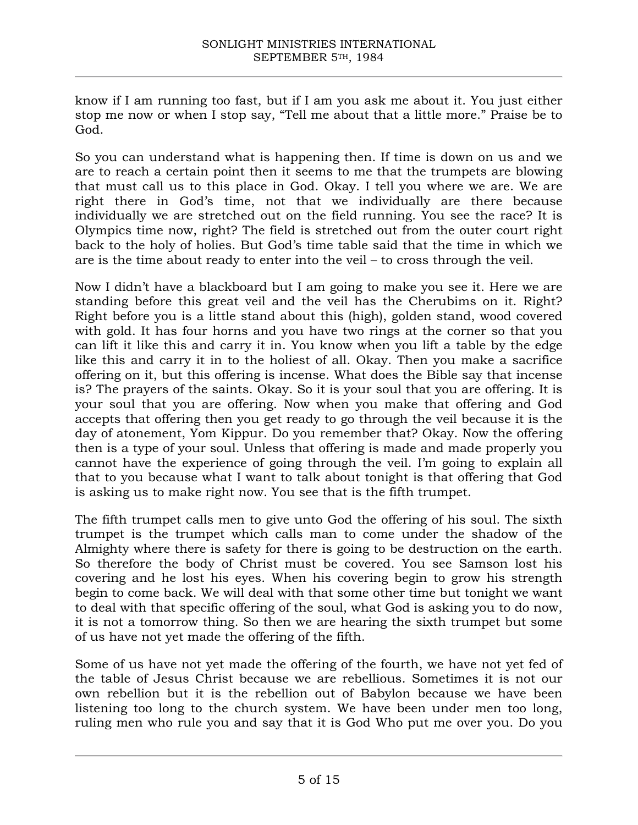know if I am running too fast, but if I am you ask me about it. You just either stop me now or when I stop say, "Tell me about that a little more." Praise be to God.

So you can understand what is happening then. If time is down on us and we are to reach a certain point then it seems to me that the trumpets are blowing that must call us to this place in God. Okay. I tell you where we are. We are right there in God's time, not that we individually are there because individually we are stretched out on the field running. You see the race? It is Olympics time now, right? The field is stretched out from the outer court right back to the holy of holies. But God's time table said that the time in which we are is the time about ready to enter into the veil – to cross through the veil.

Now I didn't have a blackboard but I am going to make you see it. Here we are standing before this great veil and the veil has the Cherubims on it. Right? Right before you is a little stand about this (high), golden stand, wood covered with gold. It has four horns and you have two rings at the corner so that you can lift it like this and carry it in. You know when you lift a table by the edge like this and carry it in to the holiest of all. Okay. Then you make a sacrifice offering on it, but this offering is incense. What does the Bible say that incense is? The prayers of the saints. Okay. So it is your soul that you are offering. It is your soul that you are offering. Now when you make that offering and God accepts that offering then you get ready to go through the veil because it is the day of atonement, Yom Kippur. Do you remember that? Okay. Now the offering then is a type of your soul. Unless that offering is made and made properly you cannot have the experience of going through the veil. I'm going to explain all that to you because what I want to talk about tonight is that offering that God is asking us to make right now. You see that is the fifth trumpet.

The fifth trumpet calls men to give unto God the offering of his soul. The sixth trumpet is the trumpet which calls man to come under the shadow of the Almighty where there is safety for there is going to be destruction on the earth. So therefore the body of Christ must be covered. You see Samson lost his covering and he lost his eyes. When his covering begin to grow his strength begin to come back. We will deal with that some other time but tonight we want to deal with that specific offering of the soul, what God is asking you to do now, it is not a tomorrow thing. So then we are hearing the sixth trumpet but some of us have not yet made the offering of the fifth.

Some of us have not yet made the offering of the fourth, we have not yet fed of the table of Jesus Christ because we are rebellious. Sometimes it is not our own rebellion but it is the rebellion out of Babylon because we have been listening too long to the church system. We have been under men too long, ruling men who rule you and say that it is God Who put me over you. Do you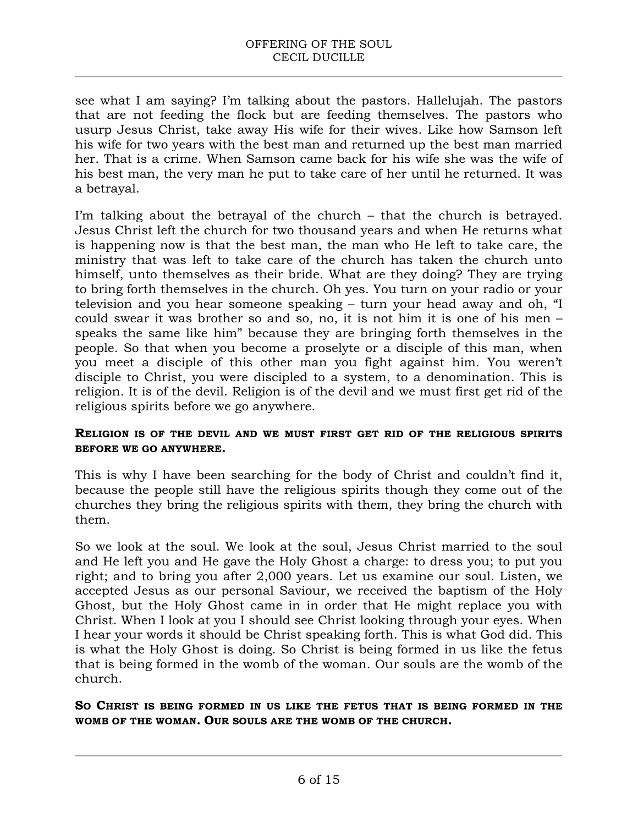see what I am saying? I'm talking about the pastors. Hallelujah. The pastors that are not feeding the flock but are feeding themselves. The pastors who usurp Jesus Christ, take away His wife for their wives. Like how Samson left his wife for two years with the best man and returned up the best man married her. That is a crime. When Samson came back for his wife she was the wife of his best man, the very man he put to take care of her until he returned. It was a betrayal.

I'm talking about the betrayal of the church – that the church is betrayed. Jesus Christ left the church for two thousand years and when He returns what is happening now is that the best man, the man who He left to take care, the ministry that was left to take care of the church has taken the church unto himself, unto themselves as their bride. What are they doing? They are trying to bring forth themselves in the church. Oh yes. You turn on your radio or your television and you hear someone speaking – turn your head away and oh, "I could swear it was brother so and so, no, it is not him it is one of his men – speaks the same like him" because they are bringing forth themselves in the people. So that when you become a proselyte or a disciple of this man, when you meet a disciple of this other man you fight against him. You weren't disciple to Christ, you were discipled to a system, to a denomination. This is religion. It is of the devil. Religion is of the devil and we must first get rid of the religious spirits before we go anywhere.

### **RELIGION IS OF THE DEVIL AND WE MUST FIRST GET RID OF THE RELIGIOUS SPIRITS BEFORE WE GO ANYWHERE.**

This is why I have been searching for the body of Christ and couldn't find it, because the people still have the religious spirits though they come out of the churches they bring the religious spirits with them, they bring the church with them.

So we look at the soul. We look at the soul, Jesus Christ married to the soul and He left you and He gave the Holy Ghost a charge: to dress you; to put you right; and to bring you after 2,000 years. Let us examine our soul. Listen, we accepted Jesus as our personal Saviour, we received the baptism of the Holy Ghost, but the Holy Ghost came in in order that He might replace you with Christ. When I look at you I should see Christ looking through your eyes. When I hear your words it should be Christ speaking forth. This is what God did. This is what the Holy Ghost is doing. So Christ is being formed in us like the fetus that is being formed in the womb of the woman. Our souls are the womb of the church.

### **SO CHRIST IS BEING FORMED IN US LIKE THE FETUS THAT IS BEING FORMED IN THE WOMB OF THE WOMAN. OUR SOULS ARE THE WOMB OF THE CHURCH.**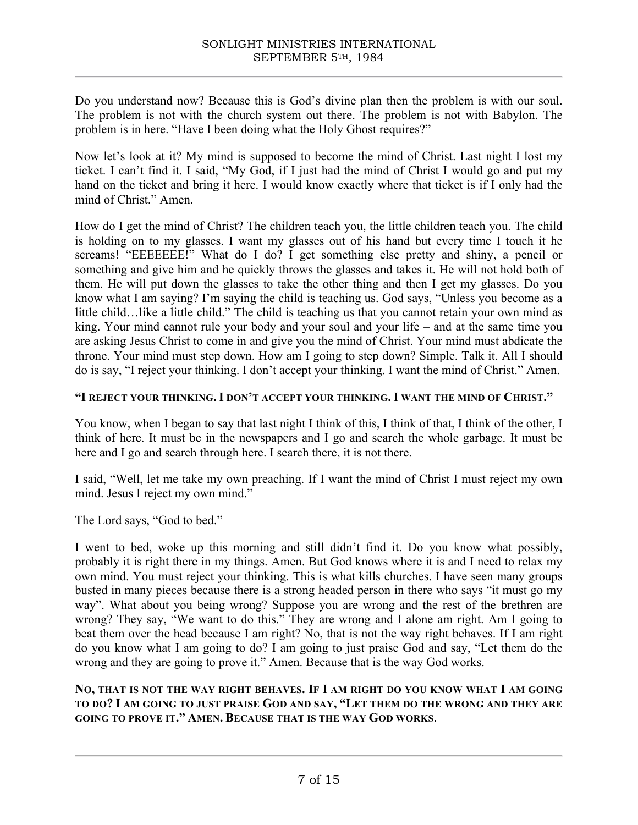Do you understand now? Because this is God's divine plan then the problem is with our soul. The problem is not with the church system out there. The problem is not with Babylon. The problem is in here. "Have I been doing what the Holy Ghost requires?"

Now let's look at it? My mind is supposed to become the mind of Christ. Last night I lost my ticket. I can't find it. I said, "My God, if I just had the mind of Christ I would go and put my hand on the ticket and bring it here. I would know exactly where that ticket is if I only had the mind of Christ." Amen.

How do I get the mind of Christ? The children teach you, the little children teach you. The child is holding on to my glasses. I want my glasses out of his hand but every time I touch it he screams! "EEEEEEE!" What do I do? I get something else pretty and shiny, a pencil or something and give him and he quickly throws the glasses and takes it. He will not hold both of them. He will put down the glasses to take the other thing and then I get my glasses. Do you know what I am saying? I'm saying the child is teaching us. God says, "Unless you become as a little child…like a little child." The child is teaching us that you cannot retain your own mind as king. Your mind cannot rule your body and your soul and your life – and at the same time you are asking Jesus Christ to come in and give you the mind of Christ. Your mind must abdicate the throne. Your mind must step down. How am I going to step down? Simple. Talk it. All I should do is say, "I reject your thinking. I don't accept your thinking. I want the mind of Christ." Amen.

### **"I REJECT YOUR THINKING. I DON'T ACCEPT YOUR THINKING. I WANT THE MIND OF CHRIST."**

You know, when I began to say that last night I think of this, I think of that, I think of the other, I think of here. It must be in the newspapers and I go and search the whole garbage. It must be here and I go and search through here. I search there, it is not there.

I said, "Well, let me take my own preaching. If I want the mind of Christ I must reject my own mind. Jesus I reject my own mind."

The Lord says, "God to bed."

I went to bed, woke up this morning and still didn't find it. Do you know what possibly, probably it is right there in my things. Amen. But God knows where it is and I need to relax my own mind. You must reject your thinking. This is what kills churches. I have seen many groups busted in many pieces because there is a strong headed person in there who says "it must go my way". What about you being wrong? Suppose you are wrong and the rest of the brethren are wrong? They say, "We want to do this." They are wrong and I alone am right. Am I going to beat them over the head because I am right? No, that is not the way right behaves. If I am right do you know what I am going to do? I am going to just praise God and say, "Let them do the wrong and they are going to prove it." Amen. Because that is the way God works.

### **NO, THAT IS NOT THE WAY RIGHT BEHAVES. IF I AM RIGHT DO YOU KNOW WHAT I AM GOING TO DO? I AM GOING TO JUST PRAISE GOD AND SAY, "LET THEM DO THE WRONG AND THEY ARE GOING TO PROVE IT." AMEN. BECAUSE THAT IS THE WAY GOD WORKS**.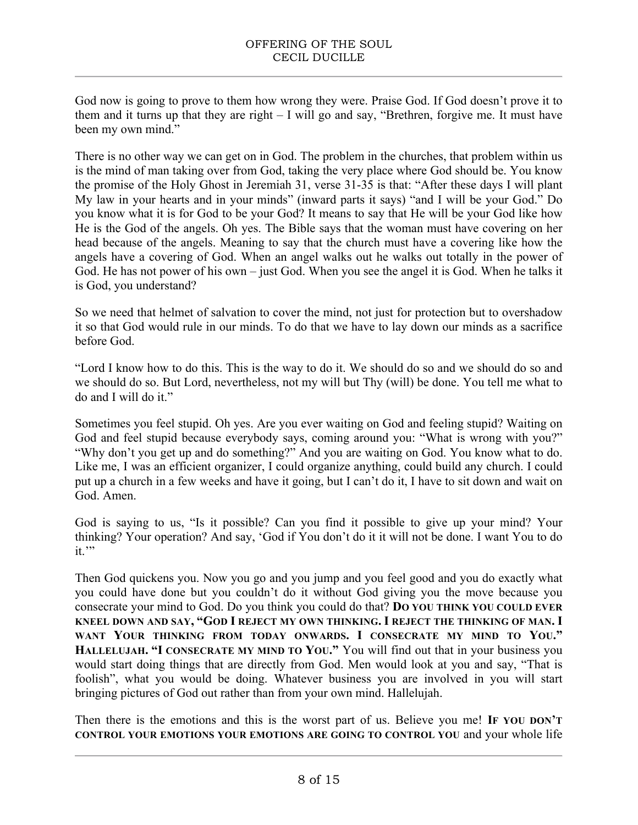God now is going to prove to them how wrong they were. Praise God. If God doesn't prove it to them and it turns up that they are right – I will go and say, "Brethren, forgive me. It must have been my own mind."

There is no other way we can get on in God. The problem in the churches, that problem within us is the mind of man taking over from God, taking the very place where God should be. You know the promise of the Holy Ghost in Jeremiah 31, verse 31-35 is that: "After these days I will plant My law in your hearts and in your minds" (inward parts it says) "and I will be your God." Do you know what it is for God to be your God? It means to say that He will be your God like how He is the God of the angels. Oh yes. The Bible says that the woman must have covering on her head because of the angels. Meaning to say that the church must have a covering like how the angels have a covering of God. When an angel walks out he walks out totally in the power of God. He has not power of his own – just God. When you see the angel it is God. When he talks it is God, you understand?

So we need that helmet of salvation to cover the mind, not just for protection but to overshadow it so that God would rule in our minds. To do that we have to lay down our minds as a sacrifice before God.

"Lord I know how to do this. This is the way to do it. We should do so and we should do so and we should do so. But Lord, nevertheless, not my will but Thy (will) be done. You tell me what to do and I will do it."

Sometimes you feel stupid. Oh yes. Are you ever waiting on God and feeling stupid? Waiting on God and feel stupid because everybody says, coming around you: "What is wrong with you?" "Why don't you get up and do something?" And you are waiting on God. You know what to do. Like me, I was an efficient organizer, I could organize anything, could build any church. I could put up a church in a few weeks and have it going, but I can't do it, I have to sit down and wait on God. Amen.

God is saying to us, "Is it possible? Can you find it possible to give up your mind? Your thinking? Your operation? And say, 'God if You don't do it it will not be done. I want You to do it."

Then God quickens you. Now you go and you jump and you feel good and you do exactly what you could have done but you couldn't do it without God giving you the move because you consecrate your mind to God. Do you think you could do that? **DO YOU THINK YOU COULD EVER KNEEL DOWN AND SAY, "GOD I REJECT MY OWN THINKING. I REJECT THE THINKING OF MAN. I WANT YOUR THINKING FROM TODAY ONWARDS. I CONSECRATE MY MIND TO YOU." HALLELUJAH. "I CONSECRATE MY MIND TO YOU."** You will find out that in your business you would start doing things that are directly from God. Men would look at you and say, "That is foolish", what you would be doing. Whatever business you are involved in you will start bringing pictures of God out rather than from your own mind. Hallelujah.

Then there is the emotions and this is the worst part of us. Believe you me! **IF YOU DON'T CONTROL YOUR EMOTIONS YOUR EMOTIONS ARE GOING TO CONTROL YOU** and your whole life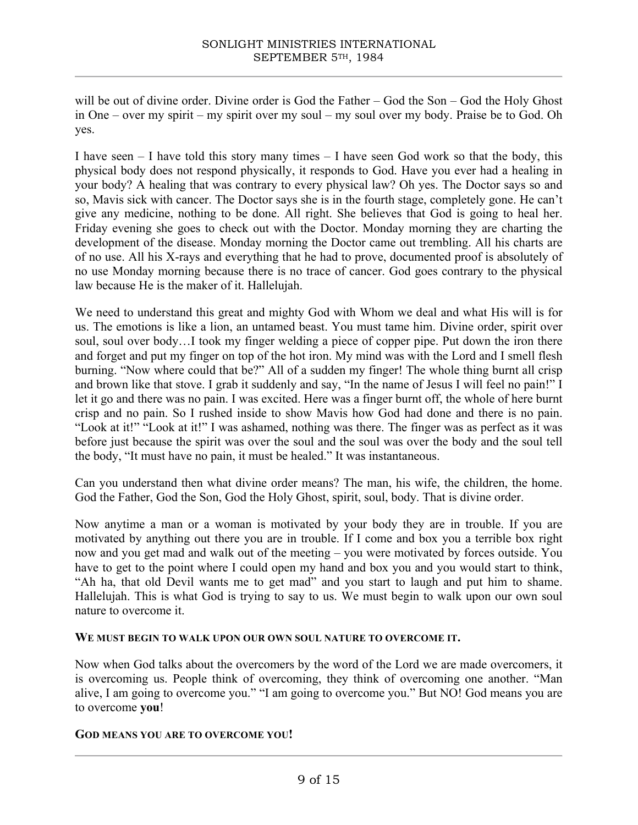will be out of divine order. Divine order is God the Father – God the Son – God the Holy Ghost in One – over my spirit – my spirit over my soul – my soul over my body. Praise be to God. Oh yes.

I have seen  $-1$  have told this story many times  $-1$  have seen God work so that the body, this physical body does not respond physically, it responds to God. Have you ever had a healing in your body? A healing that was contrary to every physical law? Oh yes. The Doctor says so and so, Mavis sick with cancer. The Doctor says she is in the fourth stage, completely gone. He can't give any medicine, nothing to be done. All right. She believes that God is going to heal her. Friday evening she goes to check out with the Doctor. Monday morning they are charting the development of the disease. Monday morning the Doctor came out trembling. All his charts are of no use. All his X-rays and everything that he had to prove, documented proof is absolutely of no use Monday morning because there is no trace of cancer. God goes contrary to the physical law because He is the maker of it. Hallelujah.

We need to understand this great and mighty God with Whom we deal and what His will is for us. The emotions is like a lion, an untamed beast. You must tame him. Divine order, spirit over soul, soul over body…I took my finger welding a piece of copper pipe. Put down the iron there and forget and put my finger on top of the hot iron. My mind was with the Lord and I smell flesh burning. "Now where could that be?" All of a sudden my finger! The whole thing burnt all crisp and brown like that stove. I grab it suddenly and say, "In the name of Jesus I will feel no pain!" I let it go and there was no pain. I was excited. Here was a finger burnt off, the whole of here burnt crisp and no pain. So I rushed inside to show Mavis how God had done and there is no pain. "Look at it!" "Look at it!" I was ashamed, nothing was there. The finger was as perfect as it was before just because the spirit was over the soul and the soul was over the body and the soul tell the body, "It must have no pain, it must be healed." It was instantaneous.

Can you understand then what divine order means? The man, his wife, the children, the home. God the Father, God the Son, God the Holy Ghost, spirit, soul, body. That is divine order.

Now anytime a man or a woman is motivated by your body they are in trouble. If you are motivated by anything out there you are in trouble. If I come and box you a terrible box right now and you get mad and walk out of the meeting – you were motivated by forces outside. You have to get to the point where I could open my hand and box you and you would start to think, "Ah ha, that old Devil wants me to get mad" and you start to laugh and put him to shame. Hallelujah. This is what God is trying to say to us. We must begin to walk upon our own soul nature to overcome it.

#### **WE MUST BEGIN TO WALK UPON OUR OWN SOUL NATURE TO OVERCOME IT.**

Now when God talks about the overcomers by the word of the Lord we are made overcomers, it is overcoming us. People think of overcoming, they think of overcoming one another. "Man alive, I am going to overcome you." "I am going to overcome you." But NO! God means you are to overcome **you**!

#### **GOD MEANS YOU ARE TO OVERCOME YOU!**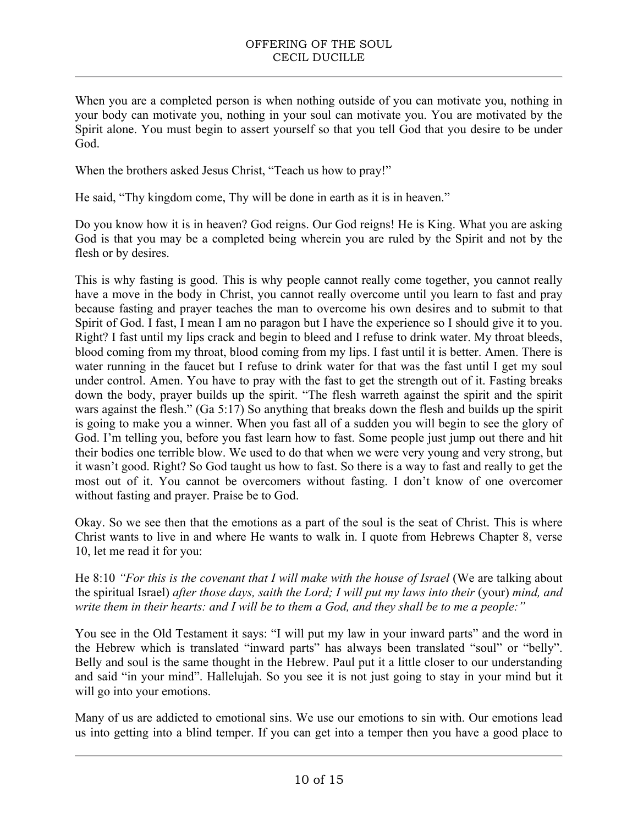When you are a completed person is when nothing outside of you can motivate you, nothing in your body can motivate you, nothing in your soul can motivate you. You are motivated by the Spirit alone. You must begin to assert yourself so that you tell God that you desire to be under God.

When the brothers asked Jesus Christ, "Teach us how to pray!"

He said, "Thy kingdom come, Thy will be done in earth as it is in heaven."

Do you know how it is in heaven? God reigns. Our God reigns! He is King. What you are asking God is that you may be a completed being wherein you are ruled by the Spirit and not by the flesh or by desires.

This is why fasting is good. This is why people cannot really come together, you cannot really have a move in the body in Christ, you cannot really overcome until you learn to fast and pray because fasting and prayer teaches the man to overcome his own desires and to submit to that Spirit of God. I fast, I mean I am no paragon but I have the experience so I should give it to you. Right? I fast until my lips crack and begin to bleed and I refuse to drink water. My throat bleeds, blood coming from my throat, blood coming from my lips. I fast until it is better. Amen. There is water running in the faucet but I refuse to drink water for that was the fast until I get my soul under control. Amen. You have to pray with the fast to get the strength out of it. Fasting breaks down the body, prayer builds up the spirit. "The flesh warreth against the spirit and the spirit wars against the flesh." (Ga 5:17) So anything that breaks down the flesh and builds up the spirit is going to make you a winner. When you fast all of a sudden you will begin to see the glory of God. I'm telling you, before you fast learn how to fast. Some people just jump out there and hit their bodies one terrible blow. We used to do that when we were very young and very strong, but it wasn't good. Right? So God taught us how to fast. So there is a way to fast and really to get the most out of it. You cannot be overcomers without fasting. I don't know of one overcomer without fasting and prayer. Praise be to God.

Okay. So we see then that the emotions as a part of the soul is the seat of Christ. This is where Christ wants to live in and where He wants to walk in. I quote from Hebrews Chapter 8, verse 10, let me read it for you:

He 8:10 *"For this is the covenant that I will make with the house of Israel* (We are talking about the spiritual Israel) *after those days, saith the Lord; I will put my laws into their* (your) *mind, and write them in their hearts: and I will be to them a God, and they shall be to me a people:"*

You see in the Old Testament it says: "I will put my law in your inward parts" and the word in the Hebrew which is translated "inward parts" has always been translated "soul" or "belly". Belly and soul is the same thought in the Hebrew. Paul put it a little closer to our understanding and said "in your mind". Hallelujah. So you see it is not just going to stay in your mind but it will go into your emotions.

Many of us are addicted to emotional sins. We use our emotions to sin with. Our emotions lead us into getting into a blind temper. If you can get into a temper then you have a good place to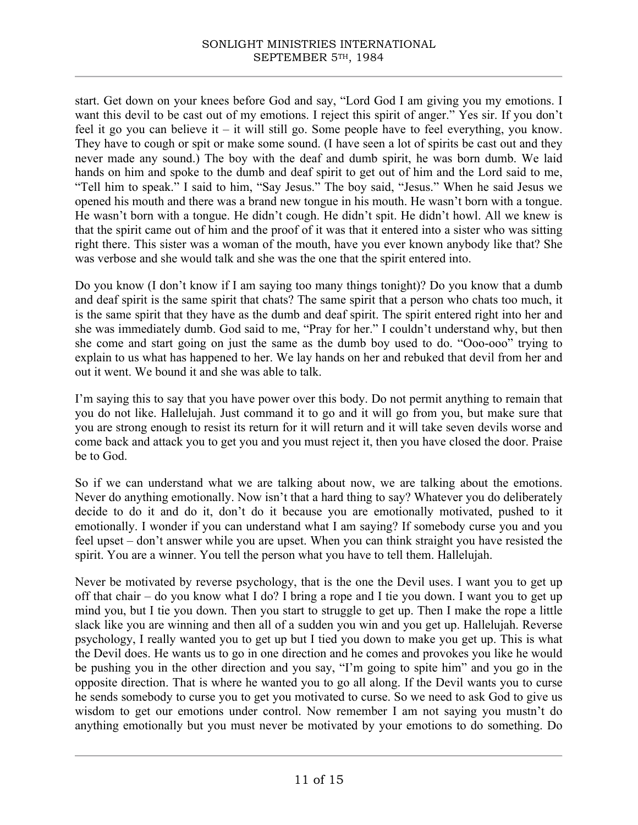start. Get down on your knees before God and say, "Lord God I am giving you my emotions. I want this devil to be cast out of my emotions. I reject this spirit of anger." Yes sir. If you don't feel it go you can believe it – it will still go. Some people have to feel everything, you know. They have to cough or spit or make some sound. (I have seen a lot of spirits be cast out and they never made any sound.) The boy with the deaf and dumb spirit, he was born dumb. We laid hands on him and spoke to the dumb and deaf spirit to get out of him and the Lord said to me, "Tell him to speak." I said to him, "Say Jesus." The boy said, "Jesus." When he said Jesus we opened his mouth and there was a brand new tongue in his mouth. He wasn't born with a tongue. He wasn't born with a tongue. He didn't cough. He didn't spit. He didn't howl. All we knew is that the spirit came out of him and the proof of it was that it entered into a sister who was sitting right there. This sister was a woman of the mouth, have you ever known anybody like that? She was verbose and she would talk and she was the one that the spirit entered into.

Do you know (I don't know if I am saying too many things tonight)? Do you know that a dumb and deaf spirit is the same spirit that chats? The same spirit that a person who chats too much, it is the same spirit that they have as the dumb and deaf spirit. The spirit entered right into her and she was immediately dumb. God said to me, "Pray for her." I couldn't understand why, but then she come and start going on just the same as the dumb boy used to do. "Ooo-ooo" trying to explain to us what has happened to her. We lay hands on her and rebuked that devil from her and out it went. We bound it and she was able to talk.

I'm saying this to say that you have power over this body. Do not permit anything to remain that you do not like. Hallelujah. Just command it to go and it will go from you, but make sure that you are strong enough to resist its return for it will return and it will take seven devils worse and come back and attack you to get you and you must reject it, then you have closed the door. Praise be to God.

So if we can understand what we are talking about now, we are talking about the emotions. Never do anything emotionally. Now isn't that a hard thing to say? Whatever you do deliberately decide to do it and do it, don't do it because you are emotionally motivated, pushed to it emotionally. I wonder if you can understand what I am saying? If somebody curse you and you feel upset – don't answer while you are upset. When you can think straight you have resisted the spirit. You are a winner. You tell the person what you have to tell them. Hallelujah.

Never be motivated by reverse psychology, that is the one the Devil uses. I want you to get up off that chair – do you know what I do? I bring a rope and I tie you down. I want you to get up mind you, but I tie you down. Then you start to struggle to get up. Then I make the rope a little slack like you are winning and then all of a sudden you win and you get up. Hallelujah. Reverse psychology, I really wanted you to get up but I tied you down to make you get up. This is what the Devil does. He wants us to go in one direction and he comes and provokes you like he would be pushing you in the other direction and you say, "I'm going to spite him" and you go in the opposite direction. That is where he wanted you to go all along. If the Devil wants you to curse he sends somebody to curse you to get you motivated to curse. So we need to ask God to give us wisdom to get our emotions under control. Now remember I am not saying you mustn't do anything emotionally but you must never be motivated by your emotions to do something. Do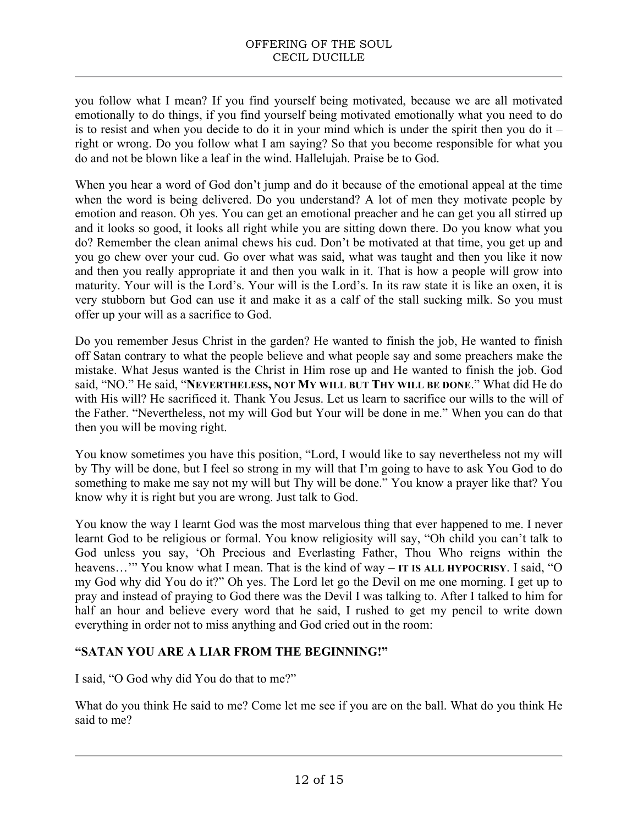you follow what I mean? If you find yourself being motivated, because we are all motivated emotionally to do things, if you find yourself being motivated emotionally what you need to do is to resist and when you decide to do it in your mind which is under the spirit then you do it – right or wrong. Do you follow what I am saying? So that you become responsible for what you do and not be blown like a leaf in the wind. Hallelujah. Praise be to God.

When you hear a word of God don't jump and do it because of the emotional appeal at the time when the word is being delivered. Do you understand? A lot of men they motivate people by emotion and reason. Oh yes. You can get an emotional preacher and he can get you all stirred up and it looks so good, it looks all right while you are sitting down there. Do you know what you do? Remember the clean animal chews his cud. Don't be motivated at that time, you get up and you go chew over your cud. Go over what was said, what was taught and then you like it now and then you really appropriate it and then you walk in it. That is how a people will grow into maturity. Your will is the Lord's. Your will is the Lord's. In its raw state it is like an oxen, it is very stubborn but God can use it and make it as a calf of the stall sucking milk. So you must offer up your will as a sacrifice to God.

Do you remember Jesus Christ in the garden? He wanted to finish the job, He wanted to finish off Satan contrary to what the people believe and what people say and some preachers make the mistake. What Jesus wanted is the Christ in Him rose up and He wanted to finish the job. God said, "NO." He said, "**NEVERTHELESS, NOT MY WILL BUT THY WILL BE DONE**." What did He do with His will? He sacrificed it. Thank You Jesus. Let us learn to sacrifice our wills to the will of the Father. "Nevertheless, not my will God but Your will be done in me." When you can do that then you will be moving right.

You know sometimes you have this position, "Lord, I would like to say nevertheless not my will by Thy will be done, but I feel so strong in my will that I'm going to have to ask You God to do something to make me say not my will but Thy will be done." You know a prayer like that? You know why it is right but you are wrong. Just talk to God.

You know the way I learnt God was the most marvelous thing that ever happened to me. I never learnt God to be religious or formal. You know religiosity will say, "Oh child you can't talk to God unless you say, 'Oh Precious and Everlasting Father, Thou Who reigns within the heavens…'" You know what I mean. That is the kind of way – **IT IS ALL HYPOCRISY**. I said, "O my God why did You do it?" Oh yes. The Lord let go the Devil on me one morning. I get up to pray and instead of praying to God there was the Devil I was talking to. After I talked to him for half an hour and believe every word that he said, I rushed to get my pencil to write down everything in order not to miss anything and God cried out in the room:

### **"SATAN YOU ARE A LIAR FROM THE BEGINNING!"**

I said, "O God why did You do that to me?"

What do you think He said to me? Come let me see if you are on the ball. What do you think He said to me?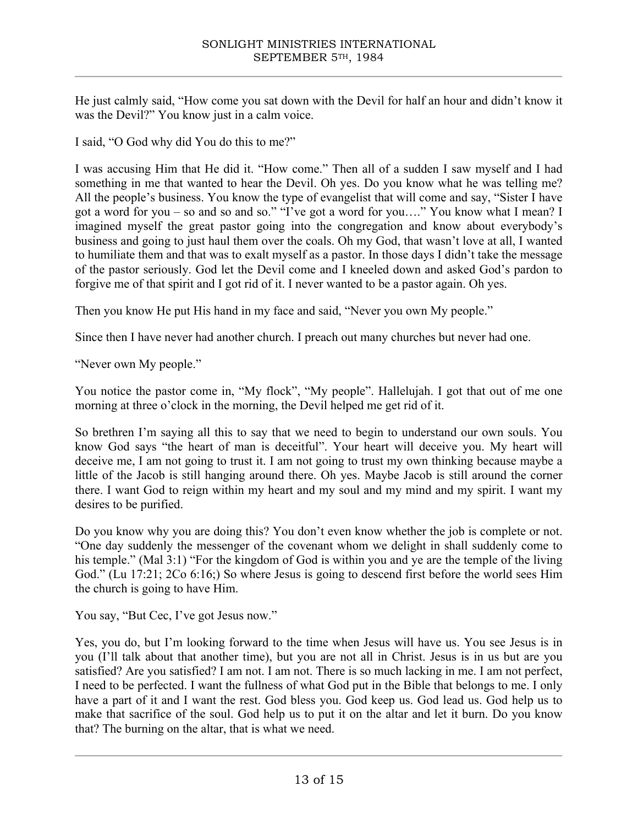He just calmly said, "How come you sat down with the Devil for half an hour and didn't know it was the Devil?" You know just in a calm voice.

I said, "O God why did You do this to me?"

I was accusing Him that He did it. "How come." Then all of a sudden I saw myself and I had something in me that wanted to hear the Devil. Oh yes. Do you know what he was telling me? All the people's business. You know the type of evangelist that will come and say, "Sister I have got a word for you – so and so and so." "I've got a word for you…." You know what I mean? I imagined myself the great pastor going into the congregation and know about everybody's business and going to just haul them over the coals. Oh my God, that wasn't love at all, I wanted to humiliate them and that was to exalt myself as a pastor. In those days I didn't take the message of the pastor seriously. God let the Devil come and I kneeled down and asked God's pardon to forgive me of that spirit and I got rid of it. I never wanted to be a pastor again. Oh yes.

Then you know He put His hand in my face and said, "Never you own My people."

Since then I have never had another church. I preach out many churches but never had one.

"Never own My people."

You notice the pastor come in, "My flock", "My people". Hallelujah. I got that out of me one morning at three o'clock in the morning, the Devil helped me get rid of it.

So brethren I'm saying all this to say that we need to begin to understand our own souls. You know God says "the heart of man is deceitful". Your heart will deceive you. My heart will deceive me, I am not going to trust it. I am not going to trust my own thinking because maybe a little of the Jacob is still hanging around there. Oh yes. Maybe Jacob is still around the corner there. I want God to reign within my heart and my soul and my mind and my spirit. I want my desires to be purified.

Do you know why you are doing this? You don't even know whether the job is complete or not. "One day suddenly the messenger of the covenant whom we delight in shall suddenly come to his temple." (Mal 3:1) "For the kingdom of God is within you and ye are the temple of the living God." (Lu 17:21; 2Co 6:16;) So where Jesus is going to descend first before the world sees Him the church is going to have Him.

You say, "But Cec, I've got Jesus now."

Yes, you do, but I'm looking forward to the time when Jesus will have us. You see Jesus is in you (I'll talk about that another time), but you are not all in Christ. Jesus is in us but are you satisfied? Are you satisfied? I am not. I am not. There is so much lacking in me. I am not perfect, I need to be perfected. I want the fullness of what God put in the Bible that belongs to me. I only have a part of it and I want the rest. God bless you. God keep us. God lead us. God help us to make that sacrifice of the soul. God help us to put it on the altar and let it burn. Do you know that? The burning on the altar, that is what we need.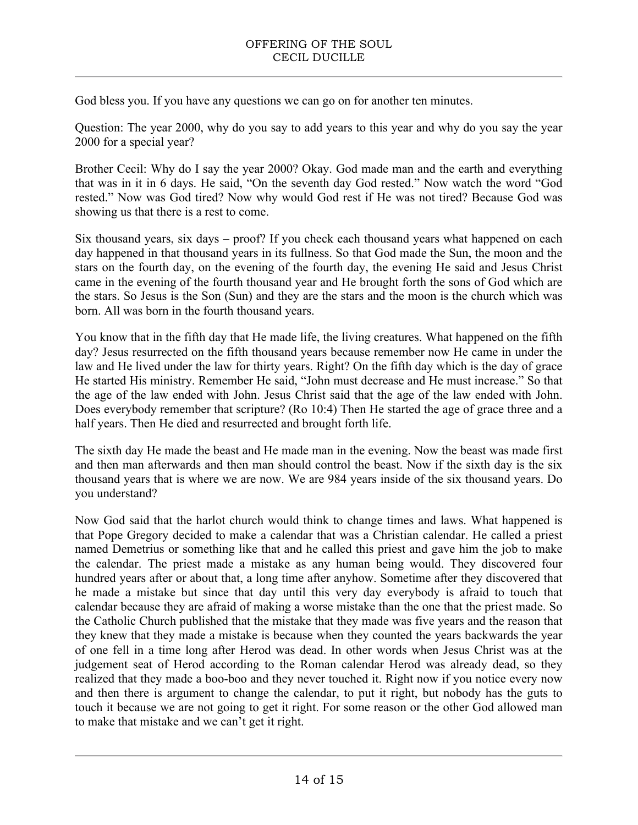God bless you. If you have any questions we can go on for another ten minutes.

Question: The year 2000, why do you say to add years to this year and why do you say the year 2000 for a special year?

Brother Cecil: Why do I say the year 2000? Okay. God made man and the earth and everything that was in it in 6 days. He said, "On the seventh day God rested." Now watch the word "God rested." Now was God tired? Now why would God rest if He was not tired? Because God was showing us that there is a rest to come.

Six thousand years, six days – proof? If you check each thousand years what happened on each day happened in that thousand years in its fullness. So that God made the Sun, the moon and the stars on the fourth day, on the evening of the fourth day, the evening He said and Jesus Christ came in the evening of the fourth thousand year and He brought forth the sons of God which are the stars. So Jesus is the Son (Sun) and they are the stars and the moon is the church which was born. All was born in the fourth thousand years.

You know that in the fifth day that He made life, the living creatures. What happened on the fifth day? Jesus resurrected on the fifth thousand years because remember now He came in under the law and He lived under the law for thirty years. Right? On the fifth day which is the day of grace He started His ministry. Remember He said, "John must decrease and He must increase." So that the age of the law ended with John. Jesus Christ said that the age of the law ended with John. Does everybody remember that scripture? (Ro 10:4) Then He started the age of grace three and a half years. Then He died and resurrected and brought forth life.

The sixth day He made the beast and He made man in the evening. Now the beast was made first and then man afterwards and then man should control the beast. Now if the sixth day is the six thousand years that is where we are now. We are 984 years inside of the six thousand years. Do you understand?

Now God said that the harlot church would think to change times and laws. What happened is that Pope Gregory decided to make a calendar that was a Christian calendar. He called a priest named Demetrius or something like that and he called this priest and gave him the job to make the calendar. The priest made a mistake as any human being would. They discovered four hundred years after or about that, a long time after anyhow. Sometime after they discovered that he made a mistake but since that day until this very day everybody is afraid to touch that calendar because they are afraid of making a worse mistake than the one that the priest made. So the Catholic Church published that the mistake that they made was five years and the reason that they knew that they made a mistake is because when they counted the years backwards the year of one fell in a time long after Herod was dead. In other words when Jesus Christ was at the judgement seat of Herod according to the Roman calendar Herod was already dead, so they realized that they made a boo-boo and they never touched it. Right now if you notice every now and then there is argument to change the calendar, to put it right, but nobody has the guts to touch it because we are not going to get it right. For some reason or the other God allowed man to make that mistake and we can't get it right.